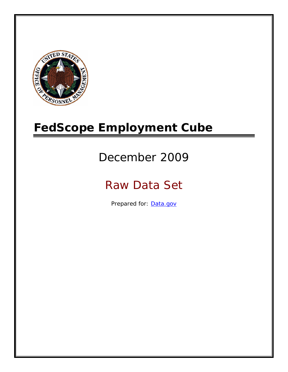

# **FedScope Employment Cube**

# December 2009

# Raw Data Set

Prepared for: [Data.gov](http://www.data.gov/)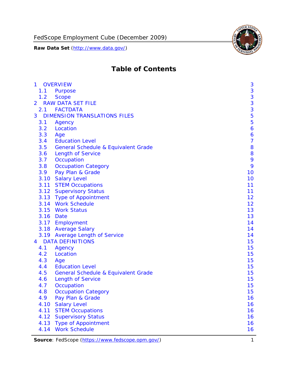FedScope Employment Cube (December 2009)

**Raw Data Set** (http://www.data.gov/)



# **Table of Contents**

| $\mathbf{1}$ | <b>OVERVIEW</b>                                | 3              |
|--------------|------------------------------------------------|----------------|
| 1.1          | Purpose                                        | 3              |
| 1.2          | <b>Scope</b>                                   | 3              |
| 2            | <b>RAW DATA SET FILE</b>                       | 3              |
| 2.1          | <b>FACTDATA</b>                                | 3              |
| 3            | <b>DIMENSION TRANSLATIONS FILES</b>            | 5              |
| 3.1          | Agency                                         | 5              |
| 3.2          | Location                                       | 6              |
| 3.3          | Age                                            | 6              |
| 3.4          | <b>Education Level</b>                         | $\overline{7}$ |
| 3.5          | <b>General Schedule &amp; Equivalent Grade</b> | 8              |
| 3.6          | <b>Length of Service</b>                       | 8              |
| 3.7          | Occupation                                     | 9              |
| 3.8          | <b>Occupation Category</b>                     | 9              |
| 3.9          | Pay Plan & Grade                               | 10             |
| 3.10         | <b>Salary Level</b>                            | 10             |
|              | 3.11 STEM Occupations                          | 11             |
|              | 3.12 Supervisory Status                        | 11             |
|              | 3.13 Type of Appointment                       | 12             |
|              | 3.14 Work Schedule                             | 12             |
| 3.15         | <b>Work Status</b>                             | 13             |
|              | 3.16 Date                                      | 13             |
|              | 3.17 Employment                                | 14             |
|              | 3.18 Average Salary                            | 14             |
|              | 3.19 Average Length of Service                 | 14             |
| 4            | <b>DATA DEFINITIONS</b>                        | 15             |
| 4.1          | Agency                                         | 15             |
| 4.2          | Location                                       | 15             |
| 4.3          | Age                                            | 15             |
| 4.4          | <b>Education Level</b>                         | 15             |
| 4.5          | <b>General Schedule &amp; Equivalent Grade</b> | 15             |
| 4.6          | <b>Length of Service</b>                       | 15             |
| 4.7          | Occupation                                     | 15             |
| 4.8          | <b>Occupation Category</b>                     | 15             |
| 4.9          | Pay Plan & Grade                               | 16             |
| 4.10         | <b>Salary Level</b>                            | 16             |
| 4.11         | <b>STEM Occupations</b>                        | 16             |
| 4.12         | <b>Supervisory Status</b>                      | 16             |
| 4.13         | <b>Type of Appointment</b>                     | 16             |
| 4.14         | <b>Work Schedule</b>                           | 16             |

Source: FedScope (https://www.fedscope.opm.gov/) 1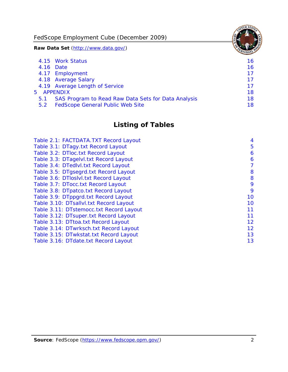FedScope Employment Cube (December 2009)

**Raw Data Set** (http://www.data.gov/)

|     | 4.15 Work Status                                    | 16 |
|-----|-----------------------------------------------------|----|
|     | 4.16 Date                                           | 16 |
|     | 4.17 Employment                                     | 17 |
|     | 4.18 Average Salary                                 | 17 |
|     | 4.19 Average Length of Service                      | 17 |
|     | 5 APPENDIX                                          | 18 |
| 5.1 | SAS Program to Read Raw Data Sets for Data Analysis | 18 |
| 5.2 | <b>FedScope General Public Web Site</b>             | 18 |

# **Listing of Tables**

| Table 2.1: FACTDATA.TXT Record Layout   | 4  |
|-----------------------------------------|----|
| Table 3.1: DTagy.txt Record Layout      | 5  |
| Table 3.2: DTloc.txt Record Layout      | 6  |
| Table 3.3: DTagelvl.txt Record Layout   | 6  |
| Table 3.4: DTedlvl.txt Record Layout    | 7  |
| Table 3.5: DTgsegrd.txt Record Layout   | 8  |
| Table 3.6: DTIoslyl.txt Record Layout   | 8  |
| Table 3.7: DTocc.txt Record Layout      | 9  |
| Table 3.8: DTpatco.txt Record Layout    | 9  |
| Table 3.9: DTppgrd.txt Record Layout    | 10 |
| Table 3.10: DTsallvl.txt Record Layout  | 10 |
| Table 3.11: DTstemocc.txt Record Layout | 11 |
| Table 3.12: DTsuper.txt Record Layout   | 11 |
| Table 3.13: DTtoa.txt Record Layout     | 12 |
| Table 3.14: DTwrksch.txt Record Layout  | 12 |
| Table 3.15: DTwkstat.txt Record Layout  | 13 |
| Table 3.16: DTdate.txt Record Layout    | 13 |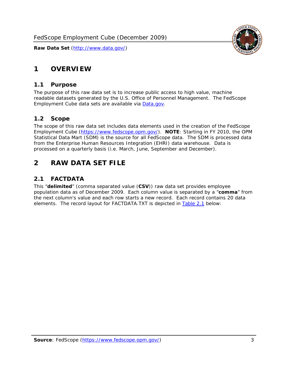# <span id="page-3-0"></span>**1 OVERVIEW**

#### *1.1 Purpose*

<span id="page-3-1"></span>The purpose of this raw data set is to increase public access to high value, machine readable datasets generated by the U.S. Office of Personnel Management. The FedScope Employment Cube data sets are available via [Data.gov](http://www.data.gov/).

## <span id="page-3-2"></span>*1.2 Scope*

The scope of this raw data set includes data elements used in the creation of the FedScope Employment Cube [\(https://www.fedscope.opm.gov/\)](https://www.fedscope.opm.gov/). **NOTE**: Starting in FY 2010, the OPM Statistical Data Mart (SDM) is the source for all FedScope data. The SDM is processed data from the Enterprise Human Resources Integration (EHRI) data warehouse. Data is processed on a quarterly basis (i.e. March, June, September and December).

# <span id="page-3-3"></span>**2 RAW DATA SET FILE**

## <span id="page-3-4"></span>*2.1 FACTDATA*

This "**delimited**" (comma separated value (**CSV**)) raw data set provides employee population data as of December 2009. Each column value is separated by a "**comma**" from the next column's value and each row starts a new record. Each record contains 20 data elements. The record layout for FACTDATA.TXT is depicted in [Table 2.1](#page-4-1) below:

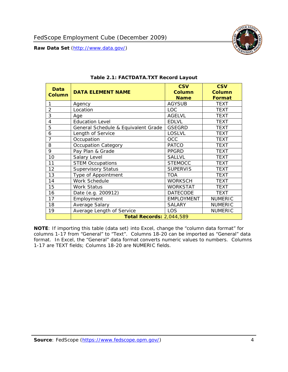<span id="page-4-1"></span><span id="page-4-0"></span>

**NOTE**: If importing this table (data set) into Excel, change the "column data format" for columns 1-17 from "General" to "Text". Columns 18-20 can be imported as "General" data format. In Excel, the "General" data format converts numeric values to numbers. Columns 1-17 are TEXT fields; Columns 18-20 are NUMERIC fields.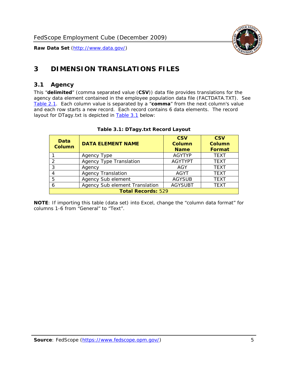

# <span id="page-5-0"></span>**3 DIMENSION TRANSLATIONS FILES**

#### <span id="page-5-1"></span>*3.1 Agency*

<span id="page-5-3"></span><span id="page-5-2"></span>This "**delimited**" (comma separated value (**CSV**)) data file provides translations for the agency data element contained in the employee population data file (FACTDATA.TXT). See [Table 2.1.](#page-4-1) Each column value is separated by a "**comma**" from the next column's value and each row starts a new record. Each record contains 6 data elements. The record layout for DTagy.txt is depicted in [Table 3.1](#page-5-3) below:

| Data<br>Column            | <b>DATA ELEMENT NAME</b>       | <b>CSV</b><br><b>Column</b><br><b>Name</b> | <b>CSV</b><br>Column<br><b>Format</b> |
|---------------------------|--------------------------------|--------------------------------------------|---------------------------------------|
|                           | Agency Type                    | <b>AGYTYP</b>                              | <b>TEXT</b>                           |
| 2                         | <b>Agency Type Translation</b> | <b>AGYTYPT</b>                             | <b>TEXT</b>                           |
| 3                         | Agency                         | AGY                                        | <b>TEXT</b>                           |
|                           | <b>Agency Translation</b>      | <b>AGYT</b>                                | <b>TEXT</b>                           |
| -5                        | Agency Sub element             | <b>AGYSUB</b>                              | <b>TEXT</b>                           |
|                           | Agency Sub element Translation | <b>AGYSUBT</b>                             | <b>TEXT</b>                           |
| <b>Total Records: 529</b> |                                |                                            |                                       |

#### **Table 3.1: DTagy.txt Record Layout**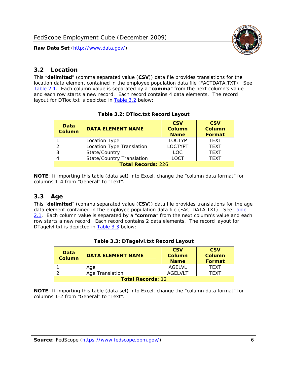

## <span id="page-6-0"></span>*3.2 Location*

<span id="page-6-4"></span><span id="page-6-2"></span>This "**delimited**" (comma separated value (**CSV**)) data file provides translations for the location data element contained in the employee population data file (FACTDATA.TXT). See [Table 2.1.](#page-4-1) Each column value is separated by a "**comma**" from the next column's value and each row starts a new record. Each record contains 4 data elements. The record layout for DTloc.txt is depicted in [Table 3.2](#page-6-4) below:

| Data<br><b>Column</b>     | <b>DATA ELEMENT NAME</b>         | <b>CSV</b><br>Column<br><b>Name</b> | <b>CSV</b><br><b>Column</b><br><b>Format</b> |
|---------------------------|----------------------------------|-------------------------------------|----------------------------------------------|
|                           | Location Type                    | <b>LOCTYP</b>                       | <b>TEXT</b>                                  |
|                           | Location Type Translation        | <b>LOCTYPT</b>                      | <b>TEXT</b>                                  |
| ⌒                         | State/Country                    | <b>LOC</b>                          | <b>TFXT</b>                                  |
|                           | <b>State/Country Translation</b> | LOCT                                | <b>TFXT</b>                                  |
| <b>Total Records: 226</b> |                                  |                                     |                                              |

#### **Table 3.2: DTloc.txt Record Layout**

**NOTE**: If importing this table (data set) into Excel, change the "column data format" for columns 1-4 from "General" to "Text".

## <span id="page-6-1"></span>*3.3 Age*

<span id="page-6-5"></span><span id="page-6-3"></span>This "**delimited**" (comma separated value (**CSV**)) data file provides translations for the age data element contained in the employee population data file (FACTDATA.TXT). See [Table](#page-4-1) [2.1](#page-4-1). Each column value is separated by a "**comma**" from the next column's value and each row starts a new record. Each record contains 2 data elements. The record layout for DTagelvl.txt is depicted in **[Table 3.3](#page-6-5)** below:

| Data<br>Column           | <b>DATA ELEMENT NAME</b> | <b>CSV</b><br>Column<br><b>Name</b> | <b>CSV</b><br>Column<br><b>Format</b> |
|--------------------------|--------------------------|-------------------------------------|---------------------------------------|
|                          | Aae                      | AGFI VI                             | TFXT                                  |
|                          | Age Translation          | AGFI VI T                           | TFXT                                  |
| <b>Total Records: 12</b> |                          |                                     |                                       |

#### **Table 3.3: DTagelvl.txt Record Layout**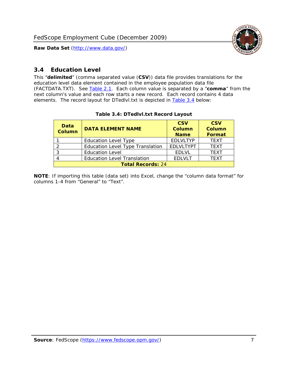

#### <span id="page-7-0"></span>*3.4 Education Level*

<span id="page-7-2"></span><span id="page-7-1"></span>This "**delimited**" (comma separated value (**CSV**)) data file provides translations for the education level data element contained in the employee population data file (FACTDATA.TXT). See [Table 2.1](#page-4-1). Each column value is separated by a "**comma**" from the next column's value and each row starts a new record. Each record contains 4 data elements. The record layout for DTedlvl.txt is depicted in [Table 3.4](#page-7-2) below:

| Data<br><b>Column</b>    | <b>DATA ELEMENT NAME</b>           | <b>CSV</b><br><b>Column</b><br><b>Name</b> | <b>CSV</b><br><b>Column</b><br><b>Format</b> |
|--------------------------|------------------------------------|--------------------------------------------|----------------------------------------------|
|                          | <b>Education Level Type</b>        | <b>EDLVLTYP</b>                            | <b>TEXT</b>                                  |
|                          | Education Level Type Translation   | <b>EDLVLTYPT</b>                           | <b>TEXT</b>                                  |
|                          | <b>Education Level</b>             | <b>EDLVL</b>                               | <b>TEXT</b>                                  |
|                          | <b>Education Level Translation</b> | <b>EDLVLT</b>                              | <b>TEXT</b>                                  |
| <b>Total Records: 24</b> |                                    |                                            |                                              |

#### **Table 3.4: DTedlvl.txt Record Layout**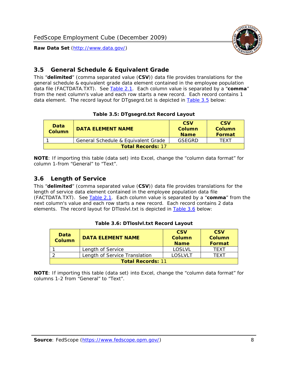<span id="page-8-0"></span>

This "**delimited**" (comma separated value (**CSV**)) data file provides translations for the general schedule & equivalent grade data element contained in the employee population data file (FACTDATA.TXT). See [Table 2.1](#page-4-1). Each column value is separated by a "**comma**" from the next column's value and each row starts a new record. Each record contains 1 data element. The record layout for DTgsegrd.txt is depicted in [Table 3.5](#page-8-4) below:

#### **Table 3.5: DTgsegrd.txt Record Layout**

<span id="page-8-4"></span><span id="page-8-2"></span>

| Data<br><b>Column</b> | <b>DATA ELEMENT NAME</b>            | <b>CSV</b><br>Column<br><b>Name</b> | <b>CSV</b><br>Column<br>Format |  |
|-----------------------|-------------------------------------|-------------------------------------|--------------------------------|--|
|                       | General Schedule & Equivalent Grade | GSEGRD                              | <b>TFXT</b>                    |  |
|                       | <b>Total Records: 17</b>            |                                     |                                |  |

**NOTE**: If importing this table (data set) into Excel, change the "column data format" for column 1-from "General" to "Text".

#### <span id="page-8-1"></span>*3.6 Length of Service*

<span id="page-8-5"></span>This "**delimited**" (comma separated value (**CSV**)) data file provides translations for the length of service data element contained in the employee population data file (FACTDATA.TXT). See [Table 2.1](#page-4-1). Each column value is separated by a "**comma**" from the next column's value and each row starts a new record. Each record contains 2 data elements. The record layout for DTloslvl.txt is depicted in [Table 3.6](#page-8-5) below:

<span id="page-8-3"></span>

| Data<br><b>Column</b>    | <b>DATA ELEMENT NAME</b>      | <b>CSV</b><br><b>Column</b><br><b>Name</b> | <b>CSV</b><br>Column<br>Format |
|--------------------------|-------------------------------|--------------------------------------------|--------------------------------|
|                          | Length of Service             | LOSLVL                                     | TFXT                           |
|                          | Length of Service Translation | LOSI VLT                                   | TFXT                           |
| <b>Total Records: 11</b> |                               |                                            |                                |

| Table 3.6: DTloslvl.txt Record Layout |  |
|---------------------------------------|--|
|---------------------------------------|--|

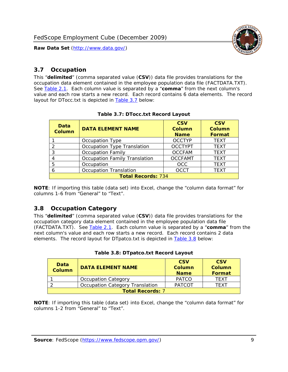

#### <span id="page-9-0"></span>*3.7 Occupation*

<span id="page-9-4"></span>This "**delimited**" (comma separated value (**CSV**)) data file provides translations for the occupation data element contained in the employee population data file (FACTDATA.TXT). See [Table 2.1](#page-4-1). Each column value is separated by a "**comma**" from the next column's value and each row starts a new record. Each record contains 6 data elements. The record layout for DTocc.txt is depicted in [Table 3.7](#page-9-4) below:

<span id="page-9-2"></span>

| Data<br><b>Column</b>     | <b>DATA ELEMENT NAME</b>             | <b>CSV</b><br>Column<br><b>Name</b> | <b>CSV</b><br><b>Column</b><br><b>Format</b> |
|---------------------------|--------------------------------------|-------------------------------------|----------------------------------------------|
|                           | Occupation Type                      | <b>OCCTYP</b>                       | <b>TEXT</b>                                  |
|                           | Occupation Type Translation          | <b>OCCTYPT</b>                      | <b>TEXT</b>                                  |
| ာ                         | <b>Occupation Family</b>             | <b>OCCFAM</b>                       | <b>TEXT</b>                                  |
|                           | <b>Occupation Family Translation</b> | <b>OCCFAMT</b>                      | <b>TEXT</b>                                  |
| 5                         | Occupation                           | <b>OCC</b>                          | <b>TEXT</b>                                  |
|                           | <b>Occupation Translation</b>        | <b>OCCT</b>                         | <b>TEXT</b>                                  |
| <b>Total Records: 734</b> |                                      |                                     |                                              |

#### **Table 3.7: DTocc.txt Record Layout**

**NOTE**: If importing this table (data set) into Excel, change the "column data format" for columns 1-6 from "General" to "Text".

## <span id="page-9-1"></span>*3.8 Occupation Category*

<span id="page-9-5"></span>This "**delimited**" (comma separated value (**CSV**)) data file provides translations for the occupation category data element contained in the employee population data file (FACTDATA.TXT). See [Table 2.1](#page-4-1). Each column value is separated by a "**comma**" from the next column's value and each row starts a new record. Each record contains 2 data elements. The record layout for DTpatco.txt is depicted in [Table 3.8](#page-9-5) below:

<span id="page-9-3"></span>

| Data<br>Column          | <b>DATA ELEMENT NAME</b>        | <b>CSV</b><br>Column<br><b>Name</b> | <b>CSV</b><br>Column<br>Format |  |
|-------------------------|---------------------------------|-------------------------------------|--------------------------------|--|
|                         | <b>Occupation Category</b>      | <b>PATCO</b>                        | <b>TFXT</b>                    |  |
|                         | Occupation Category Translation | <b>PATCOT</b>                       | TFXT                           |  |
| <b>Total Records: 7</b> |                                 |                                     |                                |  |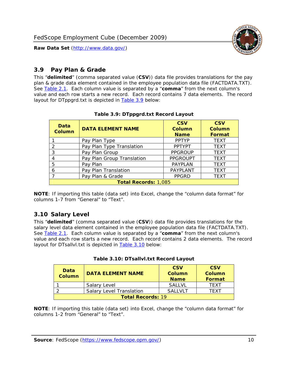

#### <span id="page-10-0"></span>*3.9 Pay Plan & Grade*

<span id="page-10-4"></span>This "**delimited**" (comma separated value (**CSV**)) data file provides translations for the pay plan & grade data element contained in the employee population data file (FACTDATA.TXT). See [Table 2.1](#page-4-1). Each column value is separated by a "**comma**" from the next column's value and each row starts a new record. Each record contains 7 data elements. The record layout for DTppgrd.txt is depicted in **Table 3.9** below:

<span id="page-10-2"></span>

| Data<br><b>Column</b>       | <b>DATA ELEMENT NAME</b>   | <b>CSV</b><br>Column<br><b>Name</b> | <b>CSV</b><br>Column<br><b>Format</b> |  |
|-----------------------------|----------------------------|-------------------------------------|---------------------------------------|--|
|                             | Pay Plan Type              | <b>PPTYP</b>                        | <b>TEXT</b>                           |  |
| $\mathcal{P}$               | Pay Plan Type Translation  | <b>PPTYPT</b>                       | <b>TEXT</b>                           |  |
| 3                           | Pay Plan Group             | <b>PPGROUP</b>                      | <b>TEXT</b>                           |  |
| 4                           | Pay Plan Group Translation | <b>PPGROUPT</b>                     | <b>TEXT</b>                           |  |
| 5                           | Pay Plan                   | PAYPLAN                             | <b>TEXT</b>                           |  |
| 6                           | Pay Plan Translation       | PAYPLANT                            | <b>TEXT</b>                           |  |
|                             | Pay Plan & Grade           | <b>PPGRD</b>                        | <b>TEXT</b>                           |  |
| <b>Total Records: 1,085</b> |                            |                                     |                                       |  |

#### **Table 3.9: DTppgrd.txt Record Layout**

**NOTE**: If importing this table (data set) into Excel, change the "column data format" for columns 1-7 from "General" to "Text".

## <span id="page-10-1"></span>*3.10 Salary Level*

<span id="page-10-5"></span><span id="page-10-3"></span>This "**delimited**" (comma separated value (**CSV**)) data file provides translations for the salary level data element contained in the employee population data file (FACTDATA.TXT). See [Table 2.1](#page-4-1). Each column value is separated by a "**comma**" from the next column's value and each row starts a new record. Each record contains 2 data elements. The record layout for DTsallvl.txt is depicted in [Table 3.10](#page-10-5) below:

| <b>Data</b><br>Column    | <b>DATA ELEMENT NAME</b>        | <b>CSV</b><br>Column<br><b>Name</b> | <b>CSV</b><br>Column<br><b>Format</b> |
|--------------------------|---------------------------------|-------------------------------------|---------------------------------------|
|                          | Salary Level                    | <b>SALLVL</b>                       | TFXT                                  |
|                          | <b>Salary Level Translation</b> | SAI I VI T                          | TEXT                                  |
| <b>Total Records: 19</b> |                                 |                                     |                                       |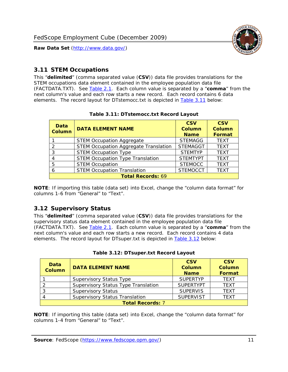

#### <span id="page-11-0"></span>*3.11 STEM Occupations*

<span id="page-11-4"></span>This "**delimited**" (comma separated value (**CSV**)) data file provides translations for the STEM occupations data element contained in the employee population data file (FACTDATA.TXT). See [Table 2.1](#page-4-1). Each column value is separated by a "**comma**" from the next column's value and each row starts a new record. Each record contains 6 data elements. The record layout for DTstemocc.txt is depicted in [Table 3.11](#page-11-4) below:

<span id="page-11-2"></span>

| <b>Data</b><br><b>Column</b> | <b>DATA ELEMENT NAME</b>                     | <b>CSV</b><br><b>Column</b><br><b>Name</b> | <b>CSV</b><br><b>Column</b><br>Format |  |
|------------------------------|----------------------------------------------|--------------------------------------------|---------------------------------------|--|
|                              | <b>STEM Occupation Aggregate</b>             | <b>STEMAGG</b>                             | <b>TEXT</b>                           |  |
|                              | <b>STEM Occupation Aggregate Translation</b> | <b>STEMAGGT</b>                            | <b>TEXT</b>                           |  |
| 3                            | <b>STEM Occupation Type</b>                  | <b>STEMTYP</b>                             | <b>TFXT</b>                           |  |
|                              | <b>STEM Occupation Type Translation</b>      | <b>STEMTYPT</b>                            | <b>TEXT</b>                           |  |
| 5                            | <b>STEM Occupation</b>                       | <b>STEMOCC</b>                             | <b>TEXT</b>                           |  |
|                              | <b>STEM Occupation Translation</b>           | <b>STEMOCCT</b>                            | <b>TEXT</b>                           |  |
| <b>Total Records: 69</b>     |                                              |                                            |                                       |  |

#### **Table 3.11: DTstemocc.txt Record Layout**

**NOTE**: If importing this table (data set) into Excel, change the "column data format" for columns 1-6 from "General" to "Text".

## <span id="page-11-1"></span>*3.12 Supervisory Status*

This "**delimited**" (comma separated value (**CSV**)) data file provides translations for the supervisory status data element contained in the employee population data file (FACTDATA.TXT). See [Table 2.1](#page-4-1). Each column value is separated by a "**comma**" from the next column's value and each row starts a new record. Each record contains 4 data elements. The record layout for DTsuper.txt is depicted in [Table 3.12](#page-11-5) below:

<span id="page-11-5"></span><span id="page-11-3"></span>

| Data<br><b>Column</b>   | <b>DATA ELEMENT NAME</b>              | <b>CSV</b><br>Column<br><b>Name</b> | <b>CSV</b><br><b>Column</b><br>Format |  |
|-------------------------|---------------------------------------|-------------------------------------|---------------------------------------|--|
|                         | <b>Supervisory Status Type</b>        | <b>SUPFRTYP</b>                     | <b>TEXT</b>                           |  |
|                         | Supervisory Status Type Translation   | <b>SUPERTYPT</b>                    | <b>TEXT</b>                           |  |
|                         | <b>Supervisory Status</b>             | <b>SUPERVIS</b>                     | <b>TEXT</b>                           |  |
|                         | <b>Supervisory Status Translation</b> | <b>SUPERVIST</b>                    | <b>TEXT</b>                           |  |
| <b>Total Records: 7</b> |                                       |                                     |                                       |  |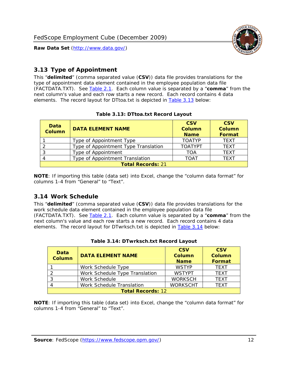

## <span id="page-12-0"></span>*3.13 Type of Appointment*

This "**delimited**" (comma separated value (**CSV**)) data file provides translations for the type of appointment data element contained in the employee population data file (FACTDATA.TXT). See [Table 2.1](#page-4-1). Each column value is separated by a "**comma**" from the next column's value and each row starts a new record. Each record contains 4 data elements. The record layout for DTtoa.txt is depicted in [Table 3.13](#page-12-4) below:

<span id="page-12-4"></span><span id="page-12-2"></span>

| Data<br><b>Column</b>    | <b>DATA ELEMENT NAME</b>             | <b>CSV</b><br><b>Column</b><br><b>Name</b> | <b>CSV</b><br><b>Column</b><br>Format |  |
|--------------------------|--------------------------------------|--------------------------------------------|---------------------------------------|--|
|                          | Type of Appointment Type             | <b>TOATYP</b>                              | <b>TEXT</b>                           |  |
|                          | Type of Appointment Type Translation | <b>TOATYPT</b>                             | <b>TEXT</b>                           |  |
|                          | Type of Appointment                  | TOA                                        | <b>TEXT</b>                           |  |
|                          | Type of Appointment Translation      | TOAT                                       | <b>TFXT</b>                           |  |
| <b>Total Records: 21</b> |                                      |                                            |                                       |  |

#### **Table 3.13: DTtoa.txt Record Layout**

**NOTE**: If importing this table (data set) into Excel, change the "column data format" for columns 1-4 from "General" to "Text".

#### <span id="page-12-1"></span>*3.14 Work Schedule*

<span id="page-12-5"></span>This "**delimited**" (comma separated value (**CSV**)) data file provides translations for the work schedule data element contained in the employee population data file (FACTDATA.TXT). See [Table 2.1](#page-4-1). Each column value is separated by a "**comma**" from the next column's value and each row starts a new record. Each record contains 4 data elements. The record layout for DTwrksch.txt is depicted in [Table 3.14](#page-12-5) below:

<span id="page-12-3"></span>

| Data<br>Column           | <b>DATA ELEMENT NAME</b>       | <b>CSV</b><br><b>Column</b><br><b>Name</b> | <b>CSV</b><br>Column<br><b>Format</b> |  |
|--------------------------|--------------------------------|--------------------------------------------|---------------------------------------|--|
|                          | Work Schedule Type             | <b>WSTYP</b>                               | <b>TEXT</b>                           |  |
| 2                        | Work Schedule Type Translation | <b>WSTYPT</b>                              | <b>TFXT</b>                           |  |
| 3                        | Work Schedule                  | <b>WORKSCH</b>                             | <b>TFXT</b>                           |  |
|                          | Work Schedule Translation      | <b>WORKSCHT</b>                            | <b>TFXT</b>                           |  |
| <b>Total Records: 12</b> |                                |                                            |                                       |  |

|  | Table 3.14: DTwrksch.txt Record Layout |  |
|--|----------------------------------------|--|
|  |                                        |  |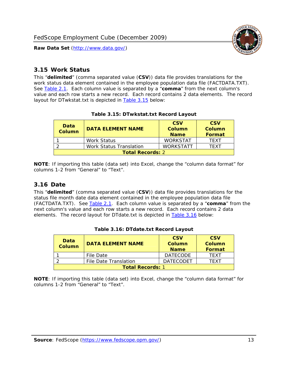

#### <span id="page-13-0"></span>*3.15 Work Status*

<span id="page-13-4"></span><span id="page-13-2"></span>This "**delimited**" (comma separated value (**CSV**)) data file provides translations for the work status data element contained in the employee population data file (FACTDATA.TXT). See [Table 2.1](#page-4-1). Each column value is separated by a "**comma**" from the next column's value and each row starts a new record. Each record contains 2 data elements. The record layout for DTwkstat.txt is depicted in [Table 3.15](#page-13-4) below:

| Data<br><b>Column</b>   | <b>DATA ELEMENT NAME</b>       | <b>CSV</b><br>Column<br><b>Name</b> | <b>CSV</b><br>Column<br><b>Format</b> |
|-------------------------|--------------------------------|-------------------------------------|---------------------------------------|
|                         | <b>Work Status</b>             | <b>WORKSTAT</b>                     | TFXT                                  |
|                         | <b>Work Status Translation</b> | <b>WORKSTATT</b>                    | TFXT                                  |
| <b>Total Records: 2</b> |                                |                                     |                                       |

#### **Table 3.15: DTwkstat.txt Record Layout**

**NOTE**: If importing this table (data set) into Excel, change the "column data format" for columns 1-2 from "General" to "Text".

#### <span id="page-13-1"></span>*3.16 Date*

<span id="page-13-5"></span><span id="page-13-3"></span>This "**delimited**" (comma separated value (**CSV**)) data file provides translations for the status file month date data element contained in the employee population data file (FACTDATA.TXT). See [Table 2.1](#page-4-1). Each column value is separated by a "**comma**" from the next column's value and each row starts a new record. Each record contains 2 data elements. The record layout for DTdate.txt is depicted in [Table 3.16](#page-13-5) below:

| Data<br><b>Column</b>   | <b>DATA ELEMENT NAME</b> | <b>CSV</b><br>Column<br><b>Name</b> | <b>CSV</b><br>Column<br><b>Format</b> |  |
|-------------------------|--------------------------|-------------------------------------|---------------------------------------|--|
|                         | File Date                | <b>DATECODE</b>                     | TFXT                                  |  |
|                         | File Date Translation    | <b>DATECODET</b>                    | TFXT                                  |  |
| <b>Total Records: 1</b> |                          |                                     |                                       |  |

**Table 3.16: DTdate.txt Record Layout**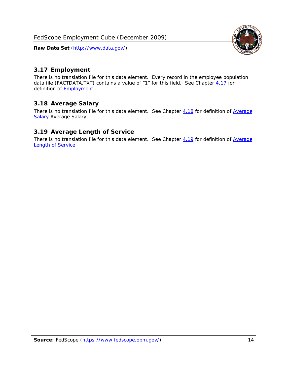FedScope Employment Cube (December 2009)

**Raw Data Set** (http://www.data.gov/)

<span id="page-14-0"></span>

There is no translation file for this data element. Every record in the employee population data file (FACTDATA.TXT) contains a value of "1" for this field. See Chapter [4.17](#page-16-8) for definition of **Employment**.

#### <span id="page-14-1"></span>*3.18 Average Salary*

There is no translation file for this data element. See Chapter [4.18](#page-17-1) for definition of [Average](#page-17-1) **[Salary](#page-17-1) [Average Salary.](#page-17-1)** 

#### <span id="page-14-2"></span>*3.19 Average Length of Service*

There is no translation file for this data element. See Chapter [4.19](#page-17-2) for definition of [Average](#page-17-2) Length of Service

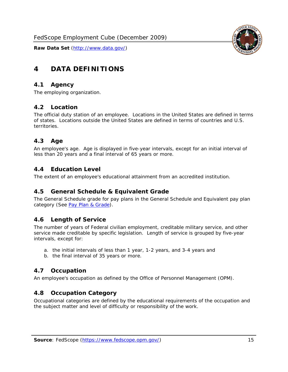

# <span id="page-15-0"></span>**4 DATA DEFINITIONS**

#### <span id="page-15-1"></span>*4.1 Agency*

The employing organization.

#### <span id="page-15-2"></span>*4.2 Location*

The official duty station of an employee. Locations in the United States are defined in terms of states. Locations outside the United States are defined in terms of countries and U.S. territories.

#### <span id="page-15-3"></span>*4.3 Age*

An employee's age. Age is displayed in five-year intervals, except for an initial interval of less than 20 years and a final interval of 65 years or more.

#### <span id="page-15-4"></span>*4.4 Education Level*

The extent of an employee's educational attainment from an accredited institution.

#### <span id="page-15-5"></span>*4.5 General Schedule & Equivalent Grade*

The General Schedule grade for pay plans in the General Schedule and Equivalent pay plan category (See [Pay Plan & Grade](#page-16-0)).

#### <span id="page-15-6"></span>*4.6 Length of Service*

The number of years of Federal civilian employment, creditable military service, and other service made creditable by specific legislation. Length of service is grouped by five-year intervals, except for:

- a. the initial intervals of less than 1 year, 1-2 years, and 3-4 years and
- b. the final interval of 35 years or more.

#### <span id="page-15-7"></span>*4.7 Occupation*

An employee's occupation as defined by the Office of Personnel Management (OPM).

#### <span id="page-15-8"></span>*4.8 Occupation Category*

Occupational categories are defined by the educational requirements of the occupation and the subject matter and level of difficulty or responsibility of the work.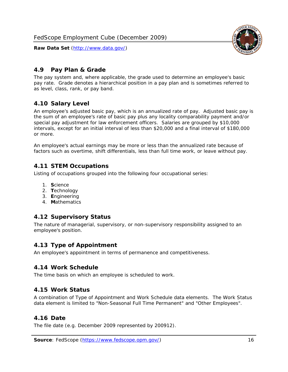<span id="page-16-0"></span>

The pay system and, where applicable, the grade used to determine an employee's basic pay rate. Grade denotes a hierarchical position in a pay plan and is sometimes referred to as level, class, rank, or pay band.

## <span id="page-16-1"></span>*4.10 Salary Level*

An employee's adjusted basic pay, which is an annualized rate of pay. Adjusted basic pay is the sum of an employee's rate of basic pay plus any locality comparability payment and/or special pay adjustment for law enforcement officers. Salaries are grouped by \$10,000 intervals, except for an initial interval of less than \$20,000 and a final interval of \$180,000 or more.

An employee's actual earnings may be more or less than the annualized rate because of factors such as overtime, shift differentials, less than full time work, or leave without pay.

## <span id="page-16-2"></span>*4.11 STEM Occupations*

Listing of occupations grouped into the following four occupational series:

- 1. **S**cience
- 2. **T**echnology
- 3. **E**ngineering
- 4. **M**athematics

#### <span id="page-16-3"></span>*4.12 Supervisory Status*

The nature of managerial, supervisory, or non-supervisory responsibility assigned to an employee's position.

#### <span id="page-16-4"></span>*4.13 Type of Appointment*

An employee's appointment in terms of permanence and competitiveness.

#### <span id="page-16-5"></span>*4.14 Work Schedule*

The time basis on which an employee is scheduled to work.

#### <span id="page-16-6"></span>*4.15 Work Status*

A combination of Type of Appointment and Work Schedule data elements. The Work Status data element is limited to "Non-Seasonal Full Time Permanent" and "Other Employees".

#### <span id="page-16-7"></span>*4.16 Date*

<span id="page-16-8"></span>The file date (e.g. December 2009 represented by 200912).

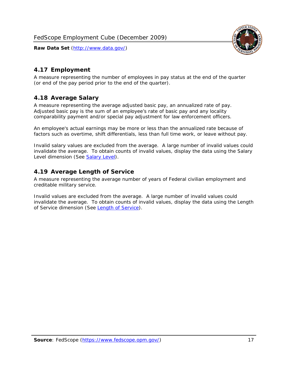

## <span id="page-17-0"></span>*4.17 Employment*

A measure representing the number of employees in pay status at the end of the quarter (or end of the pay period prior to the end of the quarter).

## <span id="page-17-1"></span>*4.18 Average Salary*

A measure representing the average adjusted basic pay, an annualized rate of pay. Adjusted basic pay is the sum of an employee's rate of basic pay and any locality comparability payment and/or special pay adjustment for law enforcement officers.

An employee's actual earnings may be more or less than the annualized rate because of factors such as overtime, shift differentials, less than full time work, or leave without pay.

Invalid salary values are excluded from the average. A large number of invalid values could invalidate the average. To obtain counts of invalid values, display the data using the Salary Level dimension (See [Salary Level\)](#page-16-1).

## <span id="page-17-2"></span>*4.19 Average Length of Service*

A measure representing the average number of years of Federal civilian employment and creditable military service.

Invalid values are excluded from the average. A large number of invalid values could invalidate the average. To obtain counts of invalid values, display the data using the Length of Service dimension (See [Length of Service](#page-15-6)).